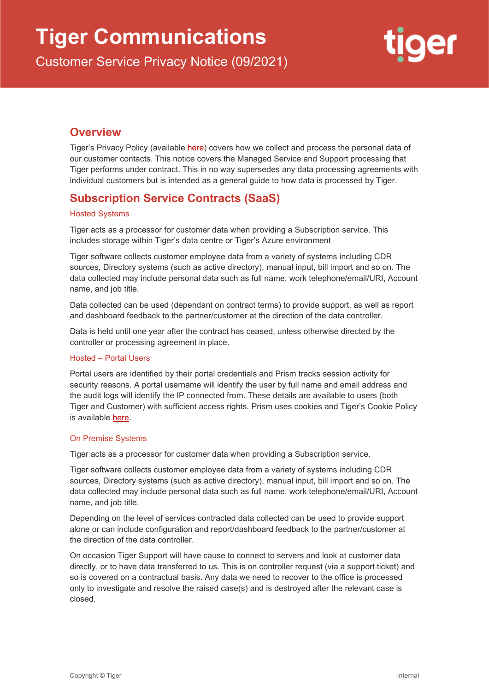Customer Service Privacy Notice (09/2021)



## **Overview**

Tiger's Privacy Policy (available [here\)](https://tiger.io/resources/website-privacy-policy/) covers how we collect and process the personal data of our customer contacts. This notice covers the Managed Service and Support processing that Tiger performs under contract. This in no way supersedes any data processing agreements with individual customers but is intended as a general guide to how data is processed by Tiger.

# **Subscription Service Contracts (SaaS)**

#### Hosted Systems

Tiger acts as a processor for customer data when providing a Subscription service. This includes storage within Tiger's data centre or Tiger's Azure environment

Tiger software collects customer employee data from a variety of systems including CDR sources, Directory systems (such as active directory), manual input, bill import and so on. The data collected may include personal data such as full name, work telephone/email/URI, Account name, and job title.

Data collected can be used (dependant on contract terms) to provide support, as well as report and dashboard feedback to the partner/customer at the direction of the data controller.

Data is held until one year after the contract has ceased, unless otherwise directed by the controller or processing agreement in place.

#### Hosted – Portal Users

Portal users are identified by their portal credentials and Prism tracks session activity for security reasons. A portal username will identify the user by full name and email address and the audit logs will identify the IP connected from. These details are available to users (both Tiger and Customer) with sufficient access rights. Prism uses cookies and Tiger's Cookie Policy is available [here.](https://tiger.io/resources/cookies-policy/)

#### On Premise Systems

Tiger acts as a processor for customer data when providing a Subscription service.

Tiger software collects customer employee data from a variety of systems including CDR sources, Directory systems (such as active directory), manual input, bill import and so on. The data collected may include personal data such as full name, work telephone/email/URI, Account name, and job title.

Depending on the level of services contracted data collected can be used to provide support alone or can include configuration and report/dashboard feedback to the partner/customer at the direction of the data controller.

On occasion Tiger Support will have cause to connect to servers and look at customer data directly, or to have data transferred to us. This is on controller request (via a support ticket) and so is covered on a contractual basis. Any data we need to recover to the office is processed only to investigate and resolve the raised case(s) and is destroyed after the relevant case is closed.